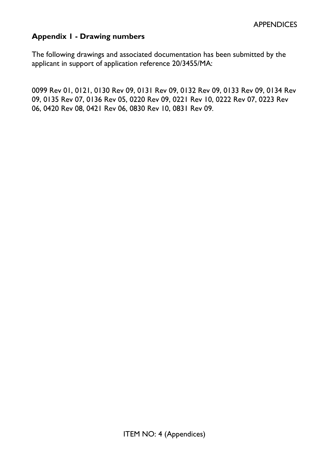### **Appendix 1 - Drawing numbers**

The following drawings and associated documentation has been submitted by the applicant in support of application reference 20/3455/MA:

0099 Rev 01, 0121, 0130 Rev 09, 0131 Rev 09, 0132 Rev 09, 0133 Rev 09, 0134 Rev 09, 0135 Rev 07, 0136 Rev 05, 0220 Rev 09, 0221 Rev 10, 0222 Rev 07, 0223 Rev 06, 0420 Rev 08, 0421 Rev 06, 0830 Rev 10, 0831 Rev 09.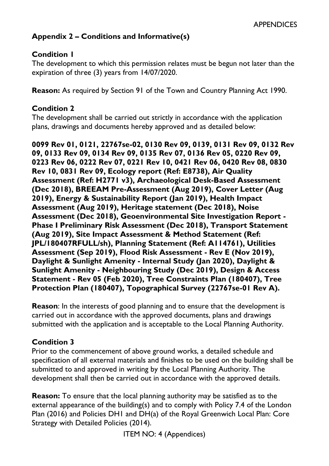### **Appendix 2 – Conditions and Informative(s)**

### **Condition 1**

The development to which this permission relates must be begun not later than the expiration of three (3) years from 14/07/2020.

**Reason:** As required by Section 91 of the Town and Country Planning Act 1990.

#### **Condition 2**

The development shall be carried out strictly in accordance with the application plans, drawings and documents hereby approved and as detailed below:

**0099 Rev 01, 0121, 22767se-02, 0130 Rev 09, 0139, 0131 Rev 09, 0132 Rev 09, 0133 Rev 09, 0134 Rev 09, 0135 Rev 07, 0136 Rev 05, 0220 Rev 09, 0223 Rev 06, 0222 Rev 07, 0221 Rev 10, 0421 Rev 06, 0420 Rev 08, 0830 Rev 10, 0831 Rev 09, Ecology report (Ref: E8738), Air Quality Assessment (Ref: H2771 v3), Archaeological Desk-Based Assessment (Dec 2018), BREEAM Pre-Assessment (Aug 2019), Cover Letter (Aug 2019), Energy & Sustainability Report (Jan 2019), Health Impact Assessment (Aug 2019), Heritage statement (Dec 2018), Noise Assessment (Dec 2018), Geoenvironmental Site Investigation Report - Phase I Preliminary Risk Assessment (Dec 2018), Transport Statement (Aug 2019), Site Impact Assessment & Method Statement (Ref: JPL/180407RFULL/sh), Planning Statement (Ref: A114761), Utilities Assessment (Sep 2019), Flood Risk Assessment - Rev E (Nov 2019), Daylight & Sunlight Amenity - Internal Study (Jan 2020), Daylight & Sunlight Amenity - Neighbouring Study (Dec 2019), Design & Access Statement - Rev 05 (Feb 2020), Tree Constraints Plan (180407), Tree Protection Plan (180407), Topographical Survey (22767se-01 Rev A).** 

**Reason**: In the interests of good planning and to ensure that the development is carried out in accordance with the approved documents, plans and drawings submitted with the application and is acceptable to the Local Planning Authority.

### **Condition 3**

Prior to the commencement of above ground works, a detailed schedule and specification of all external materials and finishes to be used on the building shall be submitted to and approved in writing by the Local Planning Authority. The development shall then be carried out in accordance with the approved details.

**Reason:** To ensure that the local planning authority may be satisfied as to the external appearance of the building(s) and to comply with Policy 7.4 of the London Plan (2016) and Policies DH1 and DH(a) of the Royal Greenwich Local Plan: Core Strategy with Detailed Policies (2014).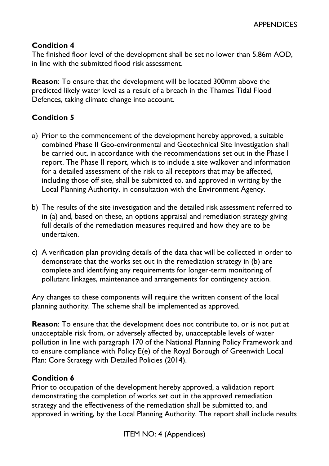### **Condition 4**

The finished floor level of the development shall be set no lower than 5.86m AOD, in line with the submitted flood risk assessment.

**Reason**: To ensure that the development will be located 300mm above the predicted likely water level as a result of a breach in the Thames Tidal Flood Defences, taking climate change into account.

## **Condition 5**

- a) Prior to the commencement of the development hereby approved, a suitable combined Phase II Geo-environmental and Geotechnical Site Investigation shall be carried out, in accordance with the recommendations set out in the Phase I report. The Phase II report, which is to include a site walkover and information for a detailed assessment of the risk to all receptors that may be affected, including those off site, shall be submitted to, and approved in writing by the Local Planning Authority, in consultation with the Environment Agency.
- b) The results of the site investigation and the detailed risk assessment referred to in (a) and, based on these, an options appraisal and remediation strategy giving full details of the remediation measures required and how they are to be undertaken.
- c) A verification plan providing details of the data that will be collected in order to demonstrate that the works set out in the remediation strategy in (b) are complete and identifying any requirements for longer-term monitoring of pollutant linkages, maintenance and arrangements for contingency action.

Any changes to these components will require the written consent of the local planning authority. The scheme shall be implemented as approved.

**Reason**: To ensure that the development does not contribute to, or is not put at unacceptable risk from, or adversely affected by, unacceptable levels of water pollution in line with paragraph 170 of the National Planning Policy Framework and to ensure compliance with Policy E(e) of the Royal Borough of Greenwich Local Plan: Core Strategy with Detailed Policies (2014).

### **Condition 6**

Prior to occupation of the development hereby approved, a validation report demonstrating the completion of works set out in the approved remediation strategy and the effectiveness of the remediation shall be submitted to, and approved in writing, by the Local Planning Authority. The report shall include results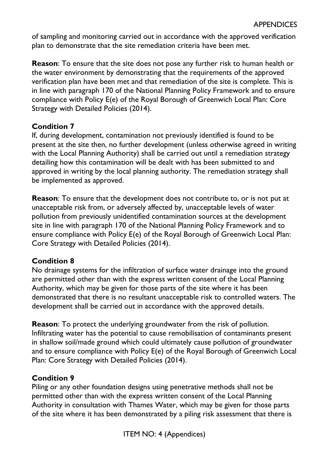of sampling and monitoring carried out in accordance with the approved verification plan to demonstrate that the site remediation criteria have been met.

**Reason**: To ensure that the site does not pose any further risk to human health or the water environment by demonstrating that the requirements of the approved verification plan have been met and that remediation of the site is complete. This is in line with paragraph 170 of the National Planning Policy Framework and to ensure compliance with Policy E(e) of the Royal Borough of Greenwich Local Plan: Core Strategy with Detailed Policies (2014).

## **Condition 7**

If, during development, contamination not previously identified is found to be present at the site then, no further development (unless otherwise agreed in writing with the Local Planning Authority) shall be carried out until a remediation strategy detailing how this contamination will be dealt with has been submitted to and approved in writing by the local planning authority. The remediation strategy shall be implemented as approved.

**Reason**: To ensure that the development does not contribute to, or is not put at unacceptable risk from, or adversely affected by, unacceptable levels of water pollution from previously unidentified contamination sources at the development site in line with paragraph 170 of the National Planning Policy Framework and to ensure compliance with Policy E(e) of the Royal Borough of Greenwich Local Plan: Core Strategy with Detailed Policies (2014).

## **Condition 8**

No drainage systems for the infiltration of surface water drainage into the ground are permitted other than with the express written consent of the Local Planning Authority, which may be given for those parts of the site where it has been demonstrated that there is no resultant unacceptable risk to controlled waters. The development shall be carried out in accordance with the approved details.

**Reason**: To protect the underlying groundwater from the risk of pollution. Infiltrating water has the potential to cause remobilisation of contaminants present in shallow soil/made ground which could ultimately cause pollution of groundwater and to ensure compliance with Policy E(e) of the Royal Borough of Greenwich Local Plan: Core Strategy with Detailed Policies (2014).

## **Condition 9**

Piling or any other foundation designs using penetrative methods shall not be permitted other than with the express written consent of the Local Planning Authority in consultation with Thames Water, which may be given for those parts of the site where it has been demonstrated by a piling risk assessment that there is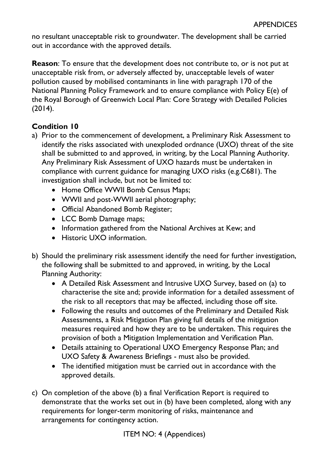no resultant unacceptable risk to groundwater. The development shall be carried out in accordance with the approved details.

**Reason**: To ensure that the development does not contribute to, or is not put at unacceptable risk from, or adversely affected by, unacceptable levels of water pollution caused by mobilised contaminants in line with paragraph 170 of the National Planning Policy Framework and to ensure compliance with Policy E(e) of the Royal Borough of Greenwich Local Plan: Core Strategy with Detailed Policies (2014).

# **Condition 10**

- a) Prior to the commencement of development, a Preliminary Risk Assessment to identify the risks associated with unexploded ordnance (UXO) threat of the site shall be submitted to and approved, in writing, by the Local Planning Authority. Any Preliminary Risk Assessment of UXO hazards must be undertaken in compliance with current guidance for managing UXO risks (e.g.C681). The investigation shall include, but not be limited to:
	- Home Office WWII Bomb Census Maps;
	- WWII and post-WWII aerial photography;
	- Official Abandoned Bomb Register;
	- LCC Bomb Damage maps;
	- Information gathered from the National Archives at Kew; and
	- Historic UXO information.
- b) Should the preliminary risk assessment identify the need for further investigation, the following shall be submitted to and approved, in writing, by the Local Planning Authority:
	- A Detailed Risk Assessment and Intrusive UXO Survey, based on (a) to characterise the site and; provide information for a detailed assessment of the risk to all receptors that may be affected, including those off site.
	- Following the results and outcomes of the Preliminary and Detailed Risk Assessments, a Risk Mitigation Plan giving full details of the mitigation measures required and how they are to be undertaken. This requires the provision of both a Mitigation Implementation and Verification Plan.
	- Details attaining to Operational UXO Emergency Response Plan; and UXO Safety & Awareness Briefings - must also be provided.
	- The identified mitigation must be carried out in accordance with the approved details.
- c) On completion of the above (b) a final Verification Report is required to demonstrate that the works set out in (b) have been completed, along with any requirements for longer-term monitoring of risks, maintenance and arrangements for contingency action.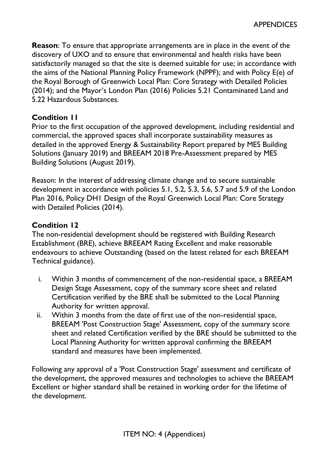**Reason**: To ensure that appropriate arrangements are in place in the event of the discovery of UXO and to ensure that environmental and health risks have been satisfactorily managed so that the site is deemed suitable for use; in accordance with the aims of the National Planning Policy Framework (NPPF); and with Policy E(e) of the Royal Borough of Greenwich Local Plan: Core Strategy with Detailed Policies (2014); and the Mayor's London Plan (2016) Policies 5.21 Contaminated Land and 5.22 Hazardous Substances.

#### **Condition 11**

Prior to the first occupation of the approved development, including residential and commercial, the approved spaces shall incorporate sustainability measures as detailed in the approved Energy & Sustainability Report prepared by MES Building Solutions (January 2019) and BREEAM 2018 Pre-Assessment prepared by MES Building Solutions (August 2019).

Reason: In the interest of addressing climate change and to secure sustainable development in accordance with policies 5.1, 5.2, 5.3, 5.6, 5.7 and 5.9 of the London Plan 2016, Policy DH1 Design of the Royal Greenwich Local Plan: Core Strategy with Detailed Policies (2014).

### **Condition 12**

The non-residential development should be registered with Building Research Establishment (BRE), achieve BREEAM Rating Excellent and make reasonable endeavours to achieve Outstanding (based on the latest related for each BREEAM Technical guidance).

- i. Within 3 months of commencement of the non-residential space, a BREEAM Design Stage Assessment, copy of the summary score sheet and related Certification verified by the BRE shall be submitted to the Local Planning Authority for written approval.
- ii. Within 3 months from the date of first use of the non-residential space, BREEAM 'Post Construction Stage' Assessment, copy of the summary score sheet and related Certification verified by the BRE should be submitted to the Local Planning Authority for written approval confirming the BREEAM standard and measures have been implemented.

Following any approval of a 'Post Construction Stage' assessment and certificate of the development, the approved measures and technologies to achieve the BREEAM Excellent or higher standard shall be retained in working order for the lifetime of the development.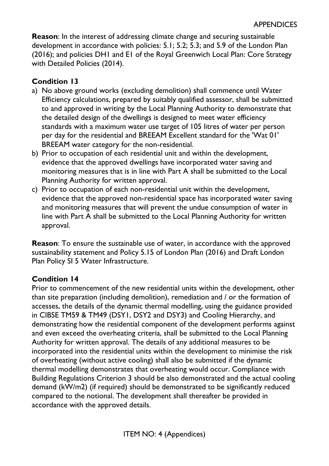**Reason**: In the interest of addressing climate change and securing sustainable development in accordance with policies: 5.1; 5.2; 5.3; and 5.9 of the London Plan (2016); and policies DH1 and E1 of the Royal Greenwich Local Plan: Core Strategy with Detailed Policies (2014).

# **Condition 13**

- a) No above ground works (excluding demolition) shall commence until Water Efficiency calculations, prepared by suitably qualified assessor, shall be submitted to and approved in writing by the Local Planning Authority to demonstrate that the detailed design of the dwellings is designed to meet water efficiency standards with a maximum water use target of 105 litres of water per person per day for the residential and BREEAM Excellent standard for the 'Wat 01' BREEAM water category for the non-residential.
- b) Prior to occupation of each residential unit and within the development, evidence that the approved dwellings have incorporated water saving and monitoring measures that is in line with Part A shall be submitted to the Local Planning Authority for written approval.
- c) Prior to occupation of each non-residential unit within the development, evidence that the approved non-residential space has incorporated water saving and monitoring measures that will prevent the undue consumption of water in line with Part A shall be submitted to the Local Planning Authority for written approval.

**Reason**: To ensure the sustainable use of water, in accordance with the approved sustainability statement and Policy 5.15 of London Plan (2016) and Draft London Plan Policy SI 5 Water Infrastructure.

## **Condition 14**

Prior to commencement of the new residential units within the development, other than site preparation (including demolition), remediation and / or the formation of accesses, the details of the dynamic thermal modelling, using the guidance provided in CIBSE TM59 & TM49 (DSY1, DSY2 and DSY3) and Cooling Hierarchy, and demonstrating how the residential component of the development performs against and even exceed the overheating criteria, shall be submitted to the Local Planning Authority for written approval. The details of any additional measures to be incorporated into the residential units within the development to minimise the risk of overheating (without active cooling) shall also be submitted if the dynamic thermal modelling demonstrates that overheating would occur. Compliance with Building Regulations Criterion 3 should be also demonstrated and the actual cooling demand (kW/m2) (if required) should be demonstrated to be significantly reduced compared to the notional. The development shall thereafter be provided in accordance with the approved details.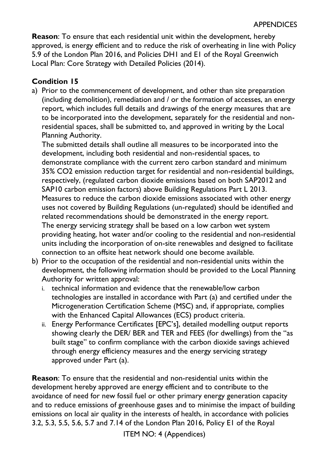**Reason**: To ensure that each residential unit within the development, hereby approved, is energy efficient and to reduce the risk of overheating in line with Policy 5.9 of the London Plan 2016, and Policies DH1 and E1 of the Royal Greenwich Local Plan: Core Strategy with Detailed Policies (2014).

# **Condition 15**

a) Prior to the commencement of development, and other than site preparation (including demolition), remediation and / or the formation of accesses, an energy report, which includes full details and drawings of the energy measures that are to be incorporated into the development, separately for the residential and nonresidential spaces, shall be submitted to, and approved in writing by the Local Planning Authority.

The submitted details shall outline all measures to be incorporated into the development, including both residential and non-residential spaces, to demonstrate compliance with the current zero carbon standard and minimum 35% CO2 emission reduction target for residential and non-residential buildings, respectively, (regulated carbon dioxide emissions based on both SAP2012 and SAP10 carbon emission factors) above Building Regulations Part L 2013. Measures to reduce the carbon dioxide emissions associated with other energy uses not covered by Building Regulations (un-regulated) should be identified and related recommendations should be demonstrated in the energy report. The energy servicing strategy shall be based on a low carbon wet system providing heating, hot water and/or cooling to the residential and non-residential units including the incorporation of on-site renewables and designed to facilitate connection to an offsite heat network should one become available.

- b) Prior to the occupation of the residential and non-residential units within the development, the following information should be provided to the Local Planning Authority for written approval:
	- i. technical information and evidence that the renewable/low carbon technologies are installed in accordance with Part (a) and certified under the Microgeneration Certification Scheme (MSC) and, if appropriate, complies with the Enhanced Capital Allowances (ECS) product criteria.
	- ii. Energy Performance Certificates [EPC's], detailed modelling output reports showing clearly the DER/ BER and TER and FEES (for dwellings) from the "as built stage" to confirm compliance with the carbon dioxide savings achieved through energy efficiency measures and the energy servicing strategy approved under Part (a).

**Reason**: To ensure that the residential and non-residential units within the development hereby approved are energy efficient and to contribute to the avoidance of need for new fossil fuel or other primary energy generation capacity and to reduce emissions of greenhouse gases and to minimise the impact of building emissions on local air quality in the interests of health, in accordance with policies 3.2, 5.3, 5.5, 5.6, 5.7 and 7.14 of the London Plan 2016, Policy E1 of the Royal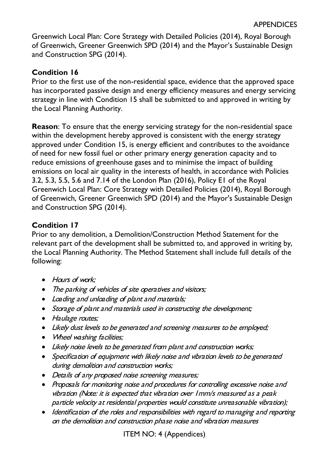Greenwich Local Plan: Core Strategy with Detailed Policies (2014), Royal Borough of Greenwich, Greener Greenwich SPD (2014) and the Mayor's Sustainable Design and Construction SPG (2014).

## **Condition 16**

Prior to the first use of the non-residential space, evidence that the approved space has incorporated passive design and energy efficiency measures and energy servicing strategy in line with Condition 15 shall be submitted to and approved in writing by the Local Planning Authority.

**Reason**: To ensure that the energy servicing strategy for the non-residential space within the development hereby approved is consistent with the energy strategy approved under Condition 15, is energy efficient and contributes to the avoidance of need for new fossil fuel or other primary energy generation capacity and to reduce emissions of greenhouse gases and to minimise the impact of building emissions on local air quality in the interests of health, in accordance with Policies 3.2, 5.3, 5.5, 5.6 and 7.14 of the London Plan (2016), Policy E1 of the Royal Greenwich Local Plan: Core Strategy with Detailed Policies (2014), Royal Borough of Greenwich, Greener Greenwich SPD (2014) and the Mayor's Sustainable Design and Construction SPG (2014).

# **Condition 17**

Prior to any demolition, a Demolition/Construction Method Statement for the relevant part of the development shall be submitted to, and approved in writing by, the Local Planning Authority. The Method Statement shall include full details of the following:

- Hours of work:
- The parking of vehicles of site operatives and visitors;
- Loading and unloading of plant and materials;
- Storage of plant and materials used in constructing the development;
- Haulage routes;
- Likely dust levels to be generated and screening measures to be employed;
- Wheel washing facilities;
- Likely noise levels to be generated from plant and construction works;
- Specification of equipment with likely noise and vibration levels to be generated during demolition and construction works;
- Details of any proposed noise screening measures;
- Proposals for monitoring noise and procedures for controlling excessive noise and vibration (Note: it is expected that vibration over 1mm/s measured as a peak particle velocity at residential properties would constitute unreasonable vibration);
- Identification of the roles and responsibilities with regard to managing and reporting on the demolition and construction phase noise and vibration measures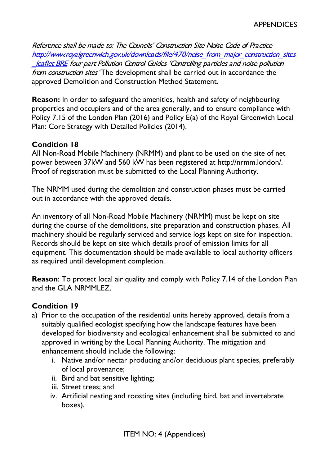Reference shall be made to: The Councils' Construction Site Noise Code of Practice [http://www.royalgreenwich.gov.uk/downloads/file/470/noise\\_from\\_major\\_construction\\_sites](http://www.royalgreenwich.gov.uk/downloads/file/470/noise_from_major_construction_sites_leaflet%20BRE) [leaflet BRE](http://www.royalgreenwich.gov.uk/downloads/file/470/noise_from_major_construction_sites_leaflet%20BRE) four part Pollution Control Guides 'Controlling particles and noise pollution from construction sites 'The development shall be carried out in accordance the approved Demolition and Construction Method Statement.

**Reason:** In order to safeguard the amenities, health and safety of neighbouring properties and occupiers and of the area generally, and to ensure compliance with Policy 7.15 of the London Plan (2016) and Policy E(a) of the Royal Greenwich Local Plan: Core Strategy with Detailed Policies (2014).

### **Condition 18**

All Non-Road Mobile Machinery (NRMM) and plant to be used on the site of net power between 37kW and 560 kW has been registered at http://nrmm.london/. Proof of registration must be submitted to the Local Planning Authority.

The NRMM used during the demolition and construction phases must be carried out in accordance with the approved details.

An inventory of all Non-Road Mobile Machinery (NRMM) must be kept on site during the course of the demolitions, site preparation and construction phases. All machinery should be regularly serviced and service logs kept on site for inspection. Records should be kept on site which details proof of emission limits for all equipment. This documentation should be made available to local authority officers as required until development completion.

**Reason**: To protect local air quality and comply with Policy 7.14 of the London Plan and the GLA NRMMLEZ.

## **Condition 19**

- a) Prior to the occupation of the residential units hereby approved, details from a suitably qualified ecologist specifying how the landscape features have been developed for biodiversity and ecological enhancement shall be submitted to and approved in writing by the Local Planning Authority. The mitigation and enhancement should include the following:
	- i. Native and/or nectar producing and/or deciduous plant species, preferably of local provenance;
	- ii. Bird and bat sensitive lighting;
	- iii. Street trees; and
	- iv. Artificial nesting and roosting sites (including bird, bat and invertebrate boxes).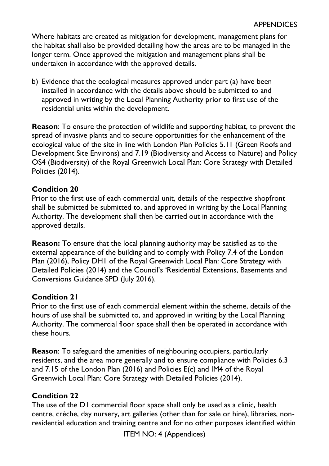Where habitats are created as mitigation for development, management plans for the habitat shall also be provided detailing how the areas are to be managed in the longer term. Once approved the mitigation and management plans shall be undertaken in accordance with the approved details.

b) Evidence that the ecological measures approved under part (a) have been installed in accordance with the details above should be submitted to and approved in writing by the Local Planning Authority prior to first use of the residential units within the development.

**Reason**: To ensure the protection of wildlife and supporting habitat, to prevent the spread of invasive plants and to secure opportunities for the enhancement of the ecological value of the site in line with London Plan Policies 5.11 (Green Roofs and Development Site Environs) and 7.19 (Biodiversity and Access to Nature) and Policy OS4 (Biodiversity) of the Royal Greenwich Local Plan: Core Strategy with Detailed Policies (2014).

### **Condition 20**

Prior to the first use of each commercial unit, details of the respective shopfront shall be submitted be submitted to, and approved in writing by the Local Planning Authority. The development shall then be carried out in accordance with the approved details.

**Reason:** To ensure that the local planning authority may be satisfied as to the external appearance of the building and to comply with Policy 7.4 of the London Plan (2016), Policy DH1 of the Royal Greenwich Local Plan: Core Strategy with Detailed Policies (2014) and the Council's 'Residential Extensions, Basements and Conversions Guidance SPD (July 2016).

### **Condition 21**

Prior to the first use of each commercial element within the scheme, details of the hours of use shall be submitted to, and approved in writing by the Local Planning Authority. The commercial floor space shall then be operated in accordance with these hours.

**Reason**: To safeguard the amenities of neighbouring occupiers, particularly residents, and the area more generally and to ensure compliance with Policies 6.3 and 7.15 of the London Plan (2016) and Policies E(c) and IM4 of the Royal Greenwich Local Plan: Core Strategy with Detailed Policies (2014).

## **Condition 22**

The use of the D1 commercial floor space shall only be used as a clinic, health centre, crèche, day nursery, art galleries (other than for sale or hire), libraries, nonresidential education and training centre and for no other purposes identified within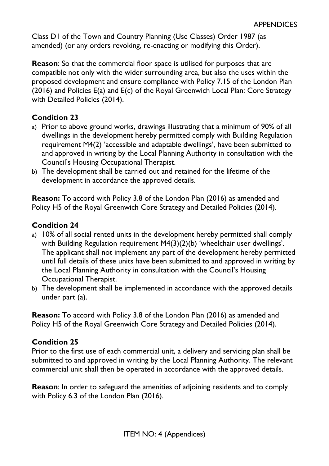Class D1 of the Town and Country Planning (Use Classes) Order 1987 (as amended) (or any orders revoking, re-enacting or modifying this Order).

**Reason**: So that the commercial floor space is utilised for purposes that are compatible not only with the wider surrounding area, but also the uses within the proposed development and ensure compliance with Policy 7.15 of the London Plan (2016) and Policies E(a) and E(c) of the Royal Greenwich Local Plan: Core Strategy with Detailed Policies (2014).

### **Condition 23**

- a) Prior to above ground works, drawings illustrating that a minimum of 90% of all dwellings in the development hereby permitted comply with Building Regulation requirement M4(2) 'accessible and adaptable dwellings', have been submitted to and approved in writing by the Local Planning Authority in consultation with the Council's Housing Occupational Therapist.
- b) The development shall be carried out and retained for the lifetime of the development in accordance the approved details.

**Reason:** To accord with Policy 3.8 of the London Plan (2016) as amended and Policy H5 of the Royal Greenwich Core Strategy and Detailed Policies (2014).

### **Condition 24**

- a) 10% of all social rented units in the development hereby permitted shall comply with Building Regulation requirement M4(3)(2)(b) 'wheelchair user dwellings'. The applicant shall not implement any part of the development hereby permitted until full details of these units have been submitted to and approved in writing by the Local Planning Authority in consultation with the Council's Housing Occupational Therapist.
- b) The development shall be implemented in accordance with the approved details under part (a).

**Reason:** To accord with Policy 3.8 of the London Plan (2016) as amended and Policy H5 of the Royal Greenwich Core Strategy and Detailed Policies (2014).

### **Condition 25**

Prior to the first use of each commercial unit, a delivery and servicing plan shall be submitted to and approved in writing by the Local Planning Authority. The relevant commercial unit shall then be operated in accordance with the approved details.

**Reason**: In order to safeguard the amenities of adjoining residents and to comply with Policy 6.3 of the London Plan (2016).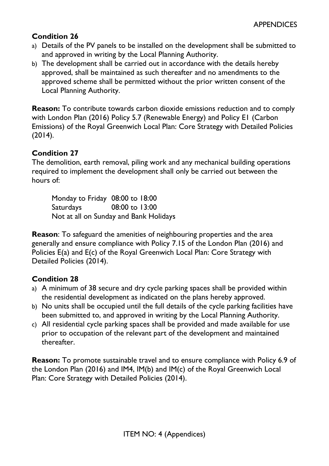# **Condition 26**

- a) Details of the PV panels to be installed on the development shall be submitted to and approved in writing by the Local Planning Authority.
- b) The development shall be carried out in accordance with the details hereby approved, shall be maintained as such thereafter and no amendments to the approved scheme shall be permitted without the prior written consent of the Local Planning Authority.

**Reason:** To contribute towards carbon dioxide emissions reduction and to comply with London Plan (2016) Policy 5.7 (Renewable Energy) and Policy E1 (Carbon Emissions) of the Royal Greenwich Local Plan: Core Strategy with Detailed Policies (2014).

### **Condition 27**

The demolition, earth removal, piling work and any mechanical building operations required to implement the development shall only be carried out between the hours of:

Monday to Friday 08:00 to 18:00 Saturdays 08:00 to 13:00 Not at all on Sunday and Bank Holidays

**Reason**: To safeguard the amenities of neighbouring properties and the area generally and ensure compliance with Policy 7.15 of the London Plan (2016) and Policies E(a) and E(c) of the Royal Greenwich Local Plan: Core Strategy with Detailed Policies (2014).

## **Condition 28**

- a) A minimum of 38 secure and dry cycle parking spaces shall be provided within the residential development as indicated on the plans hereby approved.
- b) No units shall be occupied until the full details of the cycle parking facilities have been submitted to, and approved in writing by the Local Planning Authority.
- c) All residential cycle parking spaces shall be provided and made available for use prior to occupation of the relevant part of the development and maintained thereafter.

**Reason:** To promote sustainable travel and to ensure compliance with Policy 6.9 of the London Plan (2016) and IM4, IM(b) and IM(c) of the Royal Greenwich Local Plan: Core Strategy with Detailed Policies (2014).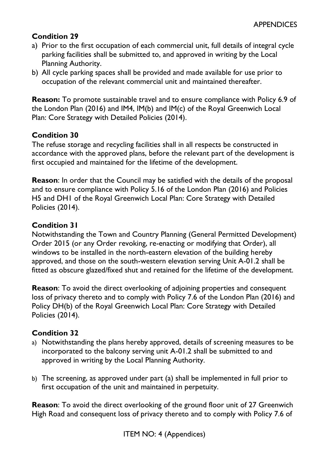# **Condition 29**

- a) Prior to the first occupation of each commercial unit, full details of integral cycle parking facilities shall be submitted to, and approved in writing by the Local Planning Authority.
- b) All cycle parking spaces shall be provided and made available for use prior to occupation of the relevant commercial unit and maintained thereafter.

**Reason:** To promote sustainable travel and to ensure compliance with Policy 6.9 of the London Plan (2016) and IM4, IM(b) and IM(c) of the Royal Greenwich Local Plan: Core Strategy with Detailed Policies (2014).

## **Condition 30**

The refuse storage and recycling facilities shall in all respects be constructed in accordance with the approved plans, before the relevant part of the development is first occupied and maintained for the lifetime of the development.

**Reason**: In order that the Council may be satisfied with the details of the proposal and to ensure compliance with Policy 5.16 of the London Plan (2016) and Policies H5 and DH1 of the Royal Greenwich Local Plan: Core Strategy with Detailed Policies (2014).

### **Condition 31**

Notwithstanding the Town and Country Planning (General Permitted Development) Order 2015 (or any Order revoking, re-enacting or modifying that Order), all windows to be installed in the north-eastern elevation of the building hereby approved, and those on the south-western elevation serving Unit A-01.2 shall be fitted as obscure glazed/fixed shut and retained for the lifetime of the development.

**Reason**: To avoid the direct overlooking of adjoining properties and consequent loss of privacy thereto and to comply with Policy 7.6 of the London Plan (2016) and Policy DH(b) of the Royal Greenwich Local Plan: Core Strategy with Detailed Policies (2014).

### **Condition 32**

- a) Notwithstanding the plans hereby approved, details of screening measures to be incorporated to the balcony serving unit A-01.2 shall be submitted to and approved in writing by the Local Planning Authority.
- b) The screening, as approved under part (a) shall be implemented in full prior to first occupation of the unit and maintained in perpetuity.

**Reason**: To avoid the direct overlooking of the ground floor unit of 27 Greenwich High Road and consequent loss of privacy thereto and to comply with Policy 7.6 of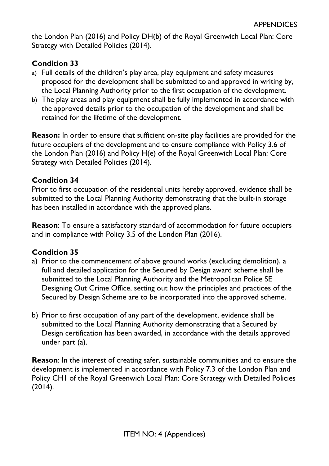the London Plan (2016) and Policy DH(b) of the Royal Greenwich Local Plan: Core Strategy with Detailed Policies (2014).

## **Condition 33**

- a) Full details of the children's play area, play equipment and safety measures proposed for the development shall be submitted to and approved in writing by, the Local Planning Authority prior to the first occupation of the development.
- b) The play areas and play equipment shall be fully implemented in accordance with the approved details prior to the occupation of the development and shall be retained for the lifetime of the development.

**Reason:** In order to ensure that sufficient on-site play facilities are provided for the future occupiers of the development and to ensure compliance with Policy 3.6 of the London Plan (2016) and Policy H(e) of the Royal Greenwich Local Plan: Core Strategy with Detailed Policies (2014).

### **Condition 34**

Prior to first occupation of the residential units hereby approved, evidence shall be submitted to the Local Planning Authority demonstrating that the built-in storage has been installed in accordance with the approved plans.

**Reason**: To ensure a satisfactory standard of accommodation for future occupiers and in compliance with Policy 3.5 of the London Plan (2016).

## **Condition 35**

- a) Prior to the commencement of above ground works (excluding demolition), a full and detailed application for the Secured by Design award scheme shall be submitted to the Local Planning Authority and the Metropolitan Police SE Designing Out Crime Office, setting out how the principles and practices of the Secured by Design Scheme are to be incorporated into the approved scheme.
- b) Prior to first occupation of any part of the development, evidence shall be submitted to the Local Planning Authority demonstrating that a Secured by Design certification has been awarded, in accordance with the details approved under part (a).

**Reason**: In the interest of creating safer, sustainable communities and to ensure the development is implemented in accordance with Policy 7.3 of the London Plan and Policy CH1 of the Royal Greenwich Local Plan: Core Strategy with Detailed Policies (2014).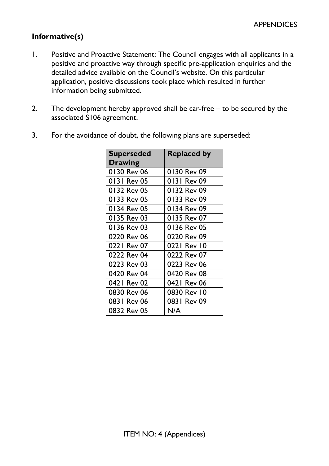# **Informative(s)**

- 1. Positive and Proactive Statement: The Council engages with all applicants in a positive and proactive way through specific pre-application enquiries and the detailed advice available on the Council's website. On this particular application, positive discussions took place which resulted in further information being submitted.
- 2. The development hereby approved shall be car-free to be secured by the associated S106 agreement.

| <b>Superseded</b> | <b>Replaced by</b> |
|-------------------|--------------------|
| <b>Drawing</b>    |                    |
| 0130 Rev 06       | 0130 Rev 09        |
| 0131 Rev 05       | 0131 Rev 09        |
| 0132 Rev 05       | 0132 Rev 09        |
| 0133 Rev 05       | 0133 Rev 09        |
| 0134 Rev 05       | 0134 Rev 09        |
| 0135 Rev 03       | 0135 Rev 07        |
| 0136 Rev 03       | 0136 Rev 05        |
| 0220 Rev 06       | 0220 Rev 09        |
| 0221 Rev 07       | 0221 Rev 10        |
| 0222 Rev 04       | 0222 Rev 07        |
| 0223 Rev 03       | 0223 Rev 06        |
| 0420 Rev 04       | 0420 Rev 08        |
| 0421 Rev 02       | 0421 Rev 06        |
| 0830 Rev 06       | 0830 Rev 10        |
| 0831 Rev 06       | 0831 Rev 09        |
| 0832 Rev 05       | N/A                |

3. For the avoidance of doubt, the following plans are superseded: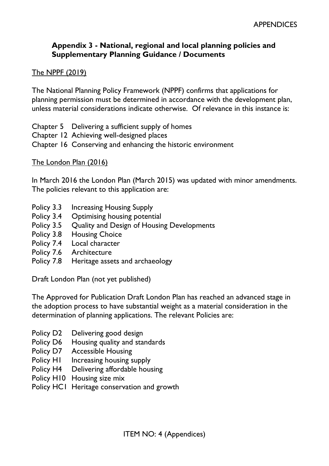### **Appendix 3 - National, regional and local planning policies and Supplementary Planning Guidance / Documents**

#### The NPPF (2019)

The National Planning Policy Framework (NPPF) confirms that applications for planning permission must be determined in accordance with the development plan, unless material considerations indicate otherwise. Of relevance in this instance is:

Chapter 5 Delivering a sufficient supply of homes Chapter 12 Achieving well-designed places Chapter 16 Conserving and enhancing the historic environment

#### The London Plan (2016)

In March 2016 the London Plan (March 2015) was updated with minor amendments. The policies relevant to this application are:

- Policy 3.3 Increasing Housing Supply
- Policy 3.4 Optimising housing potential
- Policy 3.5 Quality and Design of Housing Developments
- Policy 3.8 Housing Choice
- Policy 7.4 Local character
- Policy 7.6 Architecture
- Policy 7.8 Heritage assets and archaeology

Draft London Plan (not yet published)

The Approved for Publication Draft London Plan has reached an advanced stage in the adoption process to have substantial weight as a material consideration in the determination of planning applications. The relevant Policies are:

- Policy D2 Delivering good design
- Policy D6 Housing quality and standards
- Policy D7 Accessible Housing
- Policy H<sub>1</sub> Increasing housing supply
- Policy H4 Delivering affordable housing
- Policy H10 Housing size mix
- Policy HC1 Heritage conservation and growth